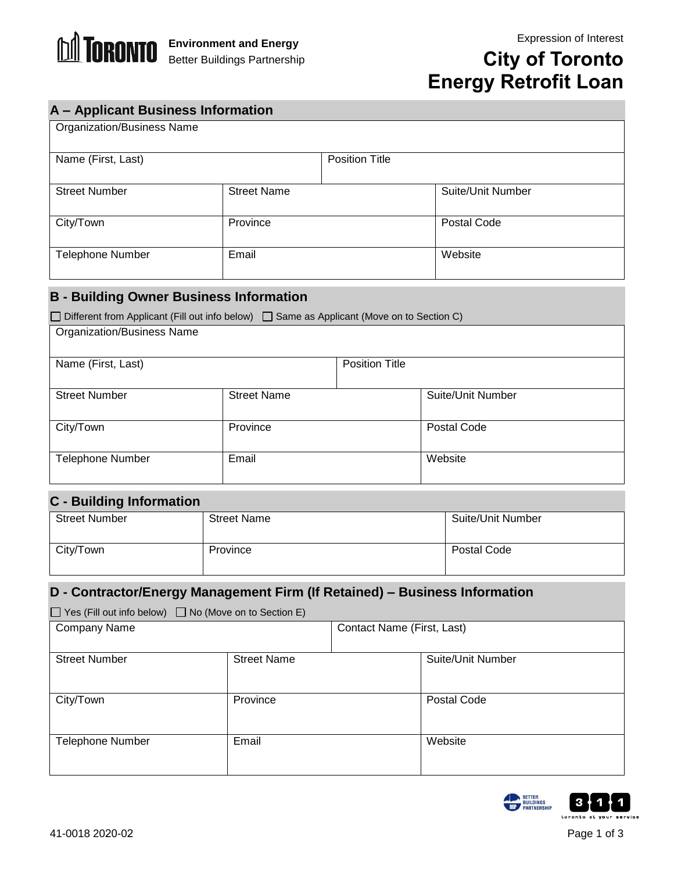

Organization/Business Name

# **City of Toronto Energy Retrofit Loan**

### **A – Applicant Business Information**

| Name (First, Last)      |                    | <b>Position Title</b> |                   |
|-------------------------|--------------------|-----------------------|-------------------|
| <b>Street Number</b>    | <b>Street Name</b> |                       | Suite/Unit Number |
| City/Town               | Province           |                       | Postal Code       |
| <b>Telephone Number</b> | Email              |                       | Website           |

### **B - Building Owner Business Information**

| $\Box$ Different from Applicant (Fill out info below) $\Box$ Same as Applicant (Move on to Section C) |                    |                       |                   |
|-------------------------------------------------------------------------------------------------------|--------------------|-----------------------|-------------------|
| <b>Organization/Business Name</b>                                                                     |                    |                       |                   |
|                                                                                                       |                    |                       |                   |
| Name (First, Last)                                                                                    |                    | <b>Position Title</b> |                   |
|                                                                                                       |                    |                       |                   |
| <b>Street Number</b>                                                                                  | <b>Street Name</b> |                       | Suite/Unit Number |
|                                                                                                       |                    |                       |                   |
| City/Town                                                                                             | Province           |                       | Postal Code       |
|                                                                                                       |                    |                       |                   |
| <b>Telephone Number</b>                                                                               | Email              |                       | Website           |
|                                                                                                       |                    |                       |                   |

### **C - Building Information**

| --                   |                    |                          |
|----------------------|--------------------|--------------------------|
| <b>Street Number</b> | <b>Street Name</b> | <b>Suite/Unit Number</b> |
| City/Town            | Province           | Postal Code              |

#### **D - Contractor/Energy Management Firm (If Retained) – Business Information**

| $\Box$ Yes (Fill out info below) $\Box$ No (Move on to Section E) |                    |                            |                   |
|-------------------------------------------------------------------|--------------------|----------------------------|-------------------|
| Company Name                                                      |                    | Contact Name (First, Last) |                   |
|                                                                   |                    |                            |                   |
| <b>Street Number</b>                                              | <b>Street Name</b> |                            | Suite/Unit Number |
|                                                                   |                    |                            |                   |
| City/Town                                                         | Province           |                            | Postal Code       |
|                                                                   |                    |                            |                   |
|                                                                   |                    |                            |                   |
| <b>Telephone Number</b>                                           | Email              |                            | Website           |
|                                                                   |                    |                            |                   |
|                                                                   |                    |                            |                   |

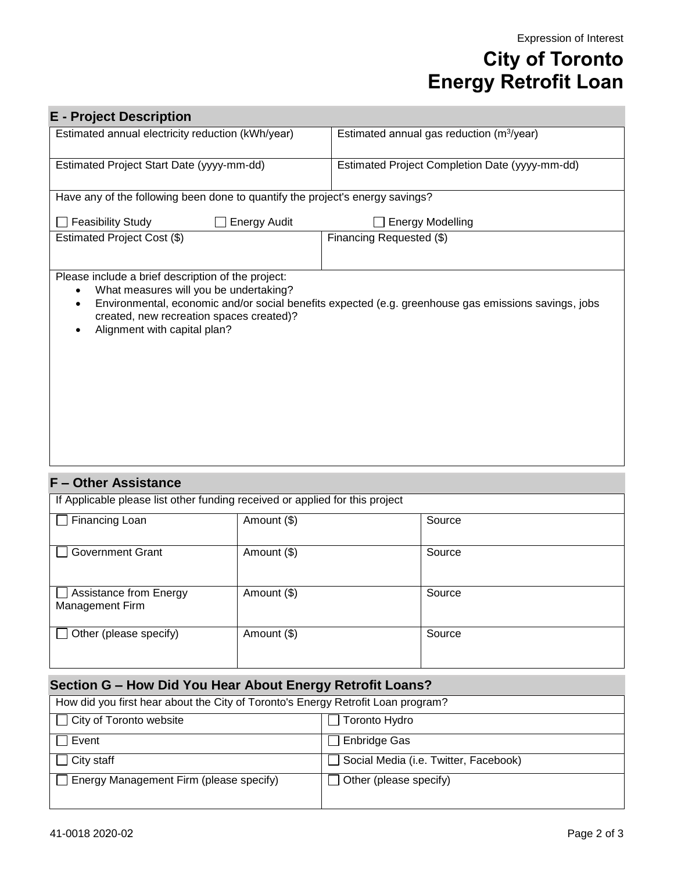# **City of Toronto Energy Retrofit Loan**

| <b>E</b> - Project Description                                                                                                                                           |                                                                                                      |
|--------------------------------------------------------------------------------------------------------------------------------------------------------------------------|------------------------------------------------------------------------------------------------------|
| Estimated annual electricity reduction (kWh/year)                                                                                                                        | Estimated annual gas reduction (m <sup>3</sup> /year)                                                |
| Estimated Project Start Date (yyyy-mm-dd)                                                                                                                                | Estimated Project Completion Date (yyyy-mm-dd)                                                       |
| Have any of the following been done to quantify the project's energy savings?                                                                                            |                                                                                                      |
| <b>Feasibility Study</b><br><b>Energy Audit</b>                                                                                                                          | <b>Energy Modelling</b>                                                                              |
| Estimated Project Cost (\$)                                                                                                                                              | Financing Requested (\$)                                                                             |
| Please include a brief description of the project:<br>What measures will you be undertaking?<br>created, new recreation spaces created)?<br>Alignment with capital plan? | Environmental, economic and/or social benefits expected (e.g. greenhouse gas emissions savings, jobs |

#### **F – Other Assistance**

| If Applicable please list other funding received or applied for this project |             |        |
|------------------------------------------------------------------------------|-------------|--------|
| Financing Loan                                                               | Amount (\$) | Source |
| <b>Government Grant</b>                                                      | Amount (\$) | Source |
| <b>Assistance from Energy</b><br>Management Firm                             | Amount (\$) | Source |
| Other (please specify)                                                       | Amount (\$) | Source |

### **Section G – How Did You Hear About Energy Retrofit Loans?**

| How did you first hear about the City of Toronto's Energy Retrofit Loan program? |                                       |  |
|----------------------------------------------------------------------------------|---------------------------------------|--|
| City of Toronto website                                                          | Toronto Hydro                         |  |
| Event                                                                            | Enbridge Gas                          |  |
| $\Box$ City staff                                                                | Social Media (i.e. Twitter, Facebook) |  |
| Energy Management Firm (please specify)                                          | Other (please specify)                |  |